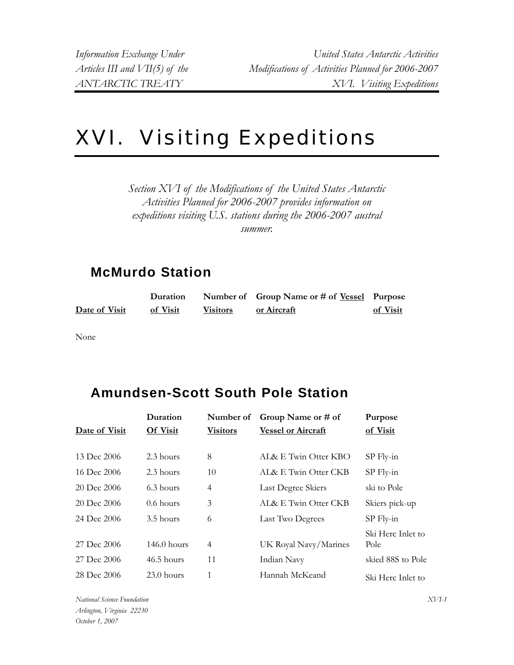## XVI. Visiting Expeditions

*Section XVI of the Modifications of the United States Antarctic Activities Planned for 2006-2007 provides information on expeditions visiting U.S. stations during the 2006-2007 austral summer.* 

## **McMurdo Station**

|               | Duration |                 | Number of Group Name or # of <u>Vessel</u> Purpose |          |
|---------------|----------|-----------------|----------------------------------------------------|----------|
| Date of Visit | of Visit | <b>Visitors</b> | or Aircraft                                        | of Visit |

None

## **Amundsen-Scott South Pole Station**

|               | Duration        | Number of       | Group Name or # of        | Purpose           |
|---------------|-----------------|-----------------|---------------------------|-------------------|
| Date of Visit | <b>Of Visit</b> | <b>Visitors</b> | <b>Vessel or Aircraft</b> | of Visit          |
|               |                 |                 |                           |                   |
| 13 Dec 2006   | 2.3 hours       | 8               | AL& E Twin Otter KBO      | $SP$ Fly-in       |
| 16 Dec 2006   | 2.3 hours       | 10              | AL& E Twin Otter CKB      | $SP$ Fly-in       |
| 20 Dec 2006   | 6.3 hours       | 4               | Last Degree Skiers        | ski to Pole       |
| 20 Dec 2006   | $0.6$ hours     | 3               | AL& E Twin Otter CKB      | Skiers pick-up    |
| 24 Dec 2006   | 3.5 hours       | 6               | Last Two Degrees          | $SP$ Fly-in       |
|               |                 |                 |                           | Ski Herc Inlet to |
| 27 Dec 2006   | $146.0$ hours   | 4               | UK Royal Navy/Marines     | Pole              |
| 27 Dec 2006   | $46.5$ hours    | 11              | Indian Navy               | skied 88S to Pole |
| 28 Dec 2006   | $23.0$ hours    | $\mathbf{1}$    | Hannah McKeand            | Ski Herc Inlet to |

*National Science Foundation Arlington, Virginia 22230 October 1, 2007*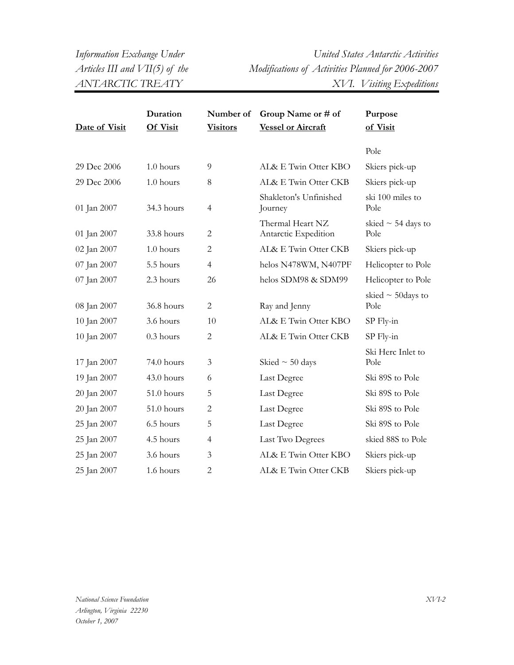*Information Exchange Under United States Antarctic Activities Articles III and VII(5) of the Modifications of Activities Planned for 2006-2007 ANTARCTIC TREATY XVI. Visiting Expeditions* 

|               | Duration    | Number of       | Group Name or # of                       | Purpose                         |
|---------------|-------------|-----------------|------------------------------------------|---------------------------------|
| Date of Visit | Of Visit    | <b>Visitors</b> | <b>Vessel or Aircraft</b>                | of Visit                        |
|               |             |                 |                                          | Pole                            |
| 29 Dec 2006   | $1.0$ hours | 9               | AL& E Twin Otter KBO                     | Skiers pick-up                  |
| 29 Dec 2006   | 1.0 hours   | 8               | AL& E Twin Otter CKB                     | Skiers pick-up                  |
| 01 Jan 2007   | 34.3 hours  | 4               | Shakleton's Unfinished<br>Journey        | ski 100 miles to<br>Pole        |
| 01 Jan 2007   | 33.8 hours  | $\mathbf{2}$    | Thermal Heart NZ<br>Antarctic Expedition | skied $\sim$ 54 days to<br>Pole |
| 02 Jan 2007   | 1.0 hours   | $\overline{c}$  | AL& E Twin Otter CKB                     | Skiers pick-up                  |
| 07 Jan 2007   | 5.5 hours   | $\overline{4}$  | helos N478WM, N407PF                     | Helicopter to Pole              |
| 07 Jan 2007   | 2.3 hours   | 26              | helos SDM98 & SDM99                      | Helicopter to Pole              |
| 08 Jan 2007   | 36.8 hours  | $\mathbf{2}$    | Ray and Jenny                            | skied $\sim$ 50 days to<br>Pole |
| 10 Jan 2007   | 3.6 hours   | 10              | AL& E Twin Otter KBO                     | SP Fly-in                       |
| 10 Jan 2007   | $0.3$ hours | $\overline{c}$  | AL& E Twin Otter CKB                     | SP Fly-in                       |
| 17 Jan 2007   | 74.0 hours  | 3               | Skied $\sim$ 50 days                     | Ski Herc Inlet to<br>Pole       |
| 19 Jan 2007   | 43.0 hours  | 6               | Last Degree                              | Ski 89S to Pole                 |
| 20 Jan 2007   | 51.0 hours  | 5               | Last Degree                              | Ski 89S to Pole                 |
| 20 Jan 2007   | 51.0 hours  | $\mathbf{2}$    | Last Degree                              | Ski 89S to Pole                 |
| 25 Jan 2007   | 6.5 hours   | 5               | Last Degree                              | Ski 89S to Pole                 |
| 25 Jan 2007   | 4.5 hours   | 4               | Last Two Degrees                         | skied 88S to Pole               |
| 25 Jan 2007   | 3.6 hours   | 3               | AL& E Twin Otter KBO                     | Skiers pick-up                  |
| 25 Jan 2007   | 1.6 hours   | $\mathbf{2}$    | AL& E Twin Otter CKB                     | Skiers pick-up                  |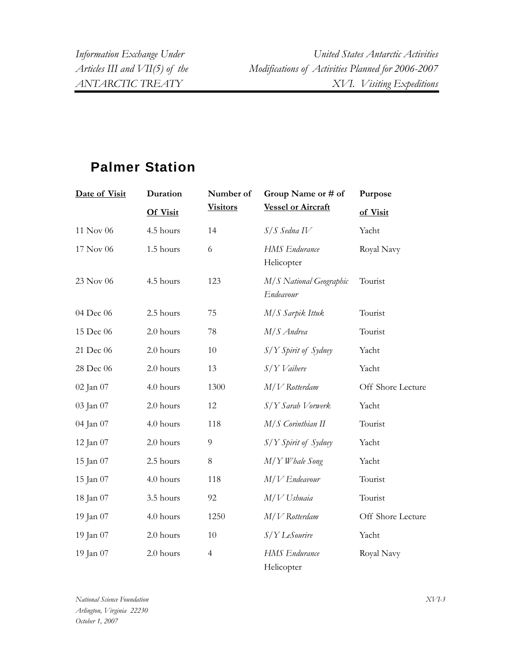*Information Exchange Under United States Antarctic Activities Articles III and VII(5) of the Modifications of Activities Planned for 2006-2007 ANTARCTIC TREATY XVI. Visiting Expeditions* 

## **Palmer Station**

| Date of Visit | Duration        | Number of       | Group Name or # of                   | Purpose           |
|---------------|-----------------|-----------------|--------------------------------------|-------------------|
|               | <b>Of Visit</b> | <b>Visitors</b> | <b>Vessel or Aircraft</b>            | of Visit          |
| 11 Nov 06     | 4.5 hours       | 14              | $S/S$ Sedna IV                       | Yacht             |
| 17 Nov 06     | 1.5 hours       | 6               | <b>HMS</b> Endurance<br>Helicopter   | Royal Navy        |
| 23 Nov 06     | 4.5 hours       | 123             | M/S National Geographic<br>Endeavour | Tourist           |
| 04 Dec 06     | 2.5 hours       | 75              | M/S Sarpik Ittuk                     | Tourist           |
| 15 Dec 06     | 2.0 hours       | 78              | M/S Andrea                           | Tourist           |
| 21 Dec 06     | 2.0 hours       | 10              | $S/Y$ Spirit of Sydney               | Yacht             |
| 28 Dec 06     | 2.0 hours       | 13              | $S/Y$ Vaihere                        | Yacht             |
| 02 Jan 07     | 4.0 hours       | 1300            | $M/V$ Rotterdam                      | Off Shore Lecture |
| 03 Jan 07     | 2.0 hours       | 12              | S/Y Sarah Vorwerk                    | Yacht             |
| 04 Jan 07     | 4.0 hours       | 118             | M/S Corinthian II                    | Tourist           |
| 12 Jan 07     | 2.0 hours       | $\overline{9}$  | S/Y Spirit of Sydney                 | Yacht             |
| 15 Jan 07     | 2.5 hours       | $\,8\,$         | M/Y Whale Song                       | Yacht             |
| 15 Jan 07     | 4.0 hours       | 118             | $M/V$ Endeavour                      | Tourist           |
| 18 Jan 07     | 3.5 hours       | 92              | $M/V$ Ushuaia                        | Tourist           |
| 19 Jan 07     | 4.0 hours       | 1250            | $M/V$ Rotterdam                      | Off Shore Lecture |
| 19 Jan 07     | 2.0 hours       | 10              | S/Y LeSourire                        | Yacht             |
| 19 Jan 07     | 2.0 hours       | $\overline{4}$  | <b>HMS</b> Endurance<br>Helicopter   | Royal Navy        |